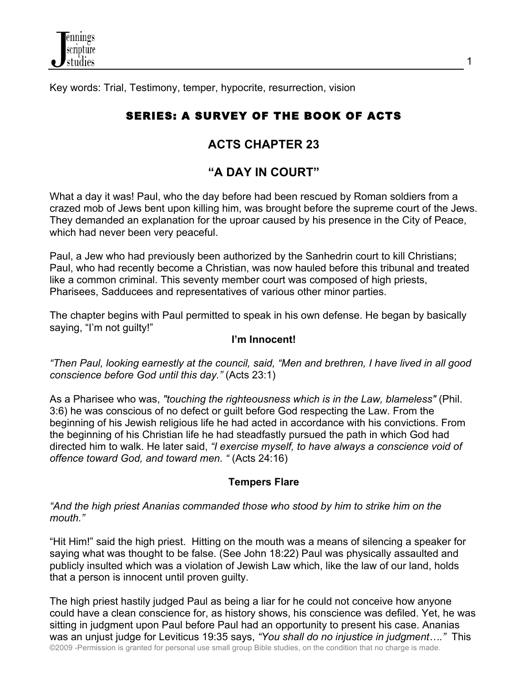Key words: Trial, Testimony, temper, hypocrite, resurrection, vision

# SERIES: A SURVEY OF THE BOOK OF ACTS

## **ACTS CHAPTER 23**

## **"A DAY IN COURT"**

What a day it was! Paul, who the day before had been rescued by Roman soldiers from a crazed mob of Jews bent upon killing him, was brought before the supreme court of the Jews. They demanded an explanation for the uproar caused by his presence in the City of Peace, which had never been very peaceful.

Paul, a Jew who had previously been authorized by the Sanhedrin court to kill Christians; Paul, who had recently become a Christian, was now hauled before this tribunal and treated like a common criminal. This seventy member court was composed of high priests, Pharisees, Sadducees and representatives of various other minor parties.

The chapter begins with Paul permitted to speak in his own defense. He began by basically saying, "I'm not guilty!"

#### **I'm Innocent!**

*"Then Paul, looking earnestly at the council, said, "Men and brethren, I have lived in all good conscience before God until this day."* (Acts 23:1)

As a Pharisee who was, *"touching the righteousness which is in the Law, blameless"* (Phil. 3:6) he was conscious of no defect or guilt before God respecting the Law. From the beginning of his Jewish religious life he had acted in accordance with his convictions. From the beginning of his Christian life he had steadfastly pursued the path in which God had directed him to walk. He later said, *"I exercise myself, to have always a conscience void of offence toward God, and toward men. "* (Acts 24:16)

## **Tempers Flare**

*"And the high priest Ananias commanded those who stood by him to strike him on the mouth."*

"Hit Him!" said the high priest. Hitting on the mouth was a means of silencing a speaker for saying what was thought to be false. (See John 18:22) Paul was physically assaulted and publicly insulted which was a violation of Jewish Law which, like the law of our land, holds that a person is innocent until proven guilty.

©2009 -Permission is granted for personal use small group Bible studies, on the condition that no charge is made. The high priest hastily judged Paul as being a liar for he could not conceive how anyone could have a clean conscience for, as history shows, his conscience was defiled. Yet, he was sitting in judgment upon Paul before Paul had an opportunity to present his case. Ananias was an unjust judge for Leviticus 19:35 says, *"You shall do no injustice in judgment…."* This

1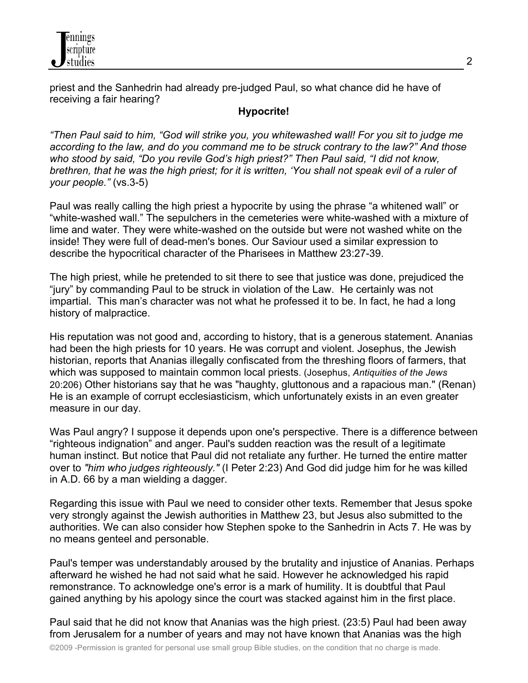

priest and the Sanhedrin had already pre-judged Paul, so what chance did he have of receiving a fair hearing?

#### **Hypocrite!**

*"Then Paul said to him, "God will strike you, you whitewashed wall! For you sit to judge me according to the law, and do you command me to be struck contrary to the law?" And those who stood by said, "Do you revile God's high priest?" Then Paul said, "I did not know, brethren, that he was the high priest; for it is written, 'You shall not speak evil of a ruler of your people."* (vs.3-5)

Paul was really calling the high priest a hypocrite by using the phrase "a whitened wall" or "white-washed wall." The sepulchers in the cemeteries were white-washed with a mixture of lime and water. They were white-washed on the outside but were not washed white on the inside! They were full of dead-men's bones. Our Saviour used a similar expression to describe the hypocritical character of the Pharisees in Matthew 23:27-39.

The high priest, while he pretended to sit there to see that justice was done, prejudiced the "jury" by commanding Paul to be struck in violation of the Law. He certainly was not impartial. This man's character was not what he professed it to be. In fact, he had a long history of malpractice.

His reputation was not good and, according to history, that is a generous statement. Ananias had been the high priests for 10 years. He was corrupt and violent. Josephus, the Jewish historian, reports that Ananias illegally confiscated from the threshing floors of farmers, that which was supposed to maintain common local priests. (Josephus, *Antiquities of the Jews* 20:206) Other historians say that he was "haughty, gluttonous and a rapacious man." (Renan) He is an example of corrupt ecclesiasticism, which unfortunately exists in an even greater measure in our day.

Was Paul angry? I suppose it depends upon one's perspective. There is a difference between "righteous indignation" and anger. Paul's sudden reaction was the result of a legitimate human instinct. But notice that Paul did not retaliate any further. He turned the entire matter over to *"him who judges righteously."* (I Peter 2:23) And God did judge him for he was killed in A.D. 66 by a man wielding a dagger.

Regarding this issue with Paul we need to consider other texts. Remember that Jesus spoke very strongly against the Jewish authorities in Matthew 23, but Jesus also submitted to the authorities. We can also consider how Stephen spoke to the Sanhedrin in Acts 7. He was by no means genteel and personable.

Paul's temper was understandably aroused by the brutality and injustice of Ananias. Perhaps afterward he wished he had not said what he said. However he acknowledged his rapid remonstrance. To acknowledge one's error is a mark of humility. It is doubtful that Paul gained anything by his apology since the court was stacked against him in the first place.

Paul said that he did not know that Ananias was the high priest. (23:5) Paul had been away from Jerusalem for a number of years and may not have known that Ananias was the high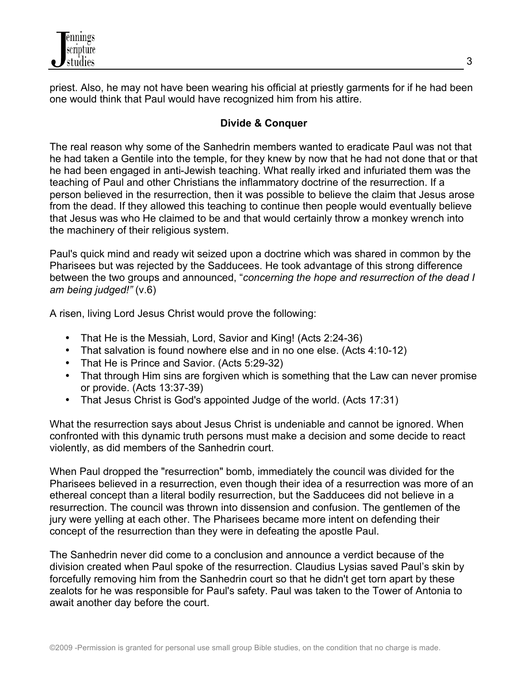

priest. Also, he may not have been wearing his official at priestly garments for if he had been one would think that Paul would have recognized him from his attire.

### **Divide & Conquer**

The real reason why some of the Sanhedrin members wanted to eradicate Paul was not that he had taken a Gentile into the temple, for they knew by now that he had not done that or that he had been engaged in anti-Jewish teaching. What really irked and infuriated them was the teaching of Paul and other Christians the inflammatory doctrine of the resurrection. If a person believed in the resurrection, then it was possible to believe the claim that Jesus arose from the dead. If they allowed this teaching to continue then people would eventually believe that Jesus was who He claimed to be and that would certainly throw a monkey wrench into the machinery of their religious system.

Paul's quick mind and ready wit seized upon a doctrine which was shared in common by the Pharisees but was rejected by the Sadducees. He took advantage of this strong difference between the two groups and announced, "*concerning the hope and resurrection of the dead I am being judged!"* (v.6)

A risen, living Lord Jesus Christ would prove the following:

- That He is the Messiah, Lord, Savior and King! (Acts 2:24-36)
- That salvation is found nowhere else and in no one else. (Acts 4:10-12)
- That He is Prince and Savior. (Acts 5:29-32)
- That through Him sins are forgiven which is something that the Law can never promise or provide. (Acts 13:37-39)
- That Jesus Christ is God's appointed Judge of the world. (Acts 17:31)

What the resurrection says about Jesus Christ is undeniable and cannot be ignored. When confronted with this dynamic truth persons must make a decision and some decide to react violently, as did members of the Sanhedrin court.

When Paul dropped the "resurrection" bomb, immediately the council was divided for the Pharisees believed in a resurrection, even though their idea of a resurrection was more of an ethereal concept than a literal bodily resurrection, but the Sadducees did not believe in a resurrection. The council was thrown into dissension and confusion. The gentlemen of the jury were yelling at each other. The Pharisees became more intent on defending their concept of the resurrection than they were in defeating the apostle Paul.

The Sanhedrin never did come to a conclusion and announce a verdict because of the division created when Paul spoke of the resurrection. Claudius Lysias saved Paul's skin by forcefully removing him from the Sanhedrin court so that he didn't get torn apart by these zealots for he was responsible for Paul's safety. Paul was taken to the Tower of Antonia to await another day before the court.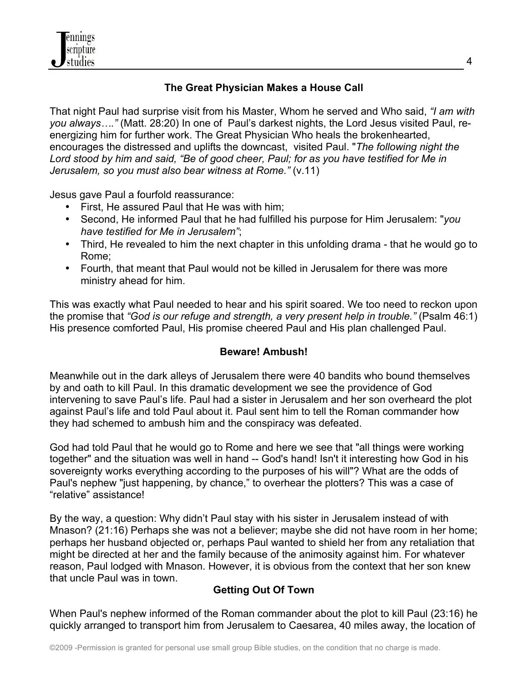

## **The Great Physician Makes a House Call**

That night Paul had surprise visit from his Master, Whom he served and Who said, *"I am with you always…."* (Matt. 28:20) In one of Paul's darkest nights, the Lord Jesus visited Paul, reenergizing him for further work. The Great Physician Who heals the brokenhearted, encourages the distressed and uplifts the downcast, visited Paul. "*The following night the Lord stood by him and said, "Be of good cheer, Paul; for as you have testified for Me in Jerusalem, so you must also bear witness at Rome."* (v.11)

Jesus gave Paul a fourfold reassurance:

- First, He assured Paul that He was with him;
- Second, He informed Paul that he had fulfilled his purpose for Him Jerusalem: "*you have testified for Me in Jerusalem"*;
- Third, He revealed to him the next chapter in this unfolding drama that he would go to Rome;
- Fourth, that meant that Paul would not be killed in Jerusalem for there was more ministry ahead for him.

This was exactly what Paul needed to hear and his spirit soared. We too need to reckon upon the promise that *"God is our refuge and strength, a very present help in trouble."* (Psalm 46:1) His presence comforted Paul, His promise cheered Paul and His plan challenged Paul.

## **Beware! Ambush!**

Meanwhile out in the dark alleys of Jerusalem there were 40 bandits who bound themselves by and oath to kill Paul. In this dramatic development we see the providence of God intervening to save Paul's life. Paul had a sister in Jerusalem and her son overheard the plot against Paul's life and told Paul about it. Paul sent him to tell the Roman commander how they had schemed to ambush him and the conspiracy was defeated.

God had told Paul that he would go to Rome and here we see that "all things were working together" and the situation was well in hand -- God's hand! Isn't it interesting how God in his sovereignty works everything according to the purposes of his will"? What are the odds of Paul's nephew "just happening, by chance," to overhear the plotters? This was a case of "relative" assistance!

By the way, a question: Why didn't Paul stay with his sister in Jerusalem instead of with Mnason? (21:16) Perhaps she was not a believer; maybe she did not have room in her home; perhaps her husband objected or, perhaps Paul wanted to shield her from any retaliation that might be directed at her and the family because of the animosity against him. For whatever reason, Paul lodged with Mnason. However, it is obvious from the context that her son knew that uncle Paul was in town.

## **Getting Out Of Town**

When Paul's nephew informed of the Roman commander about the plot to kill Paul (23:16) he quickly arranged to transport him from Jerusalem to Caesarea, 40 miles away, the location of